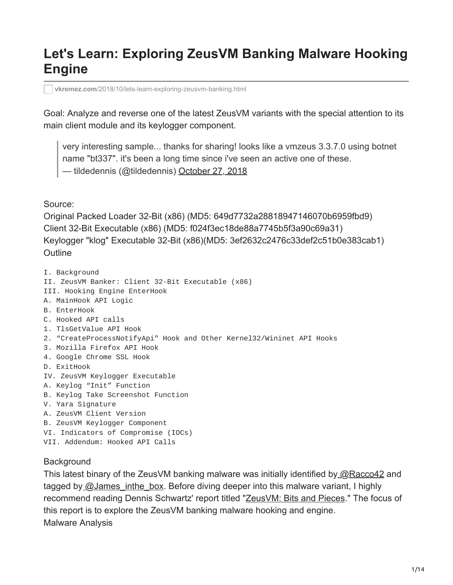# **Let's Learn: Exploring ZeusVM Banking Malware Hooking Engine**

**vkremez.com**[/2018/10/lets-learn-exploring-zeusvm-banking.html](https://www.vkremez.com/2018/10/lets-learn-exploring-zeusvm-banking.html)

Goal: Analyze and reverse one of the latest ZeusVM variants with the special attention to its main client module and its keylogger component.

very interesting sample... thanks for sharing! looks like a vmzeus 3.3.7.0 using botnet name "bt337". it's been a long time since i've seen an active one of these. — tildedennis (@tildedennis) [October 27, 2018](https://twitter.com/tildedennis/status/1056259494827749376?ref_src=twsrc%5Etfw)

Source:

Original Packed Loader 32-Bit (x86) (MD5: 649d7732a28818947146070b6959fbd9) Client 32-Bit Executable (x86) (MD5: f024f3ec18de88a7745b5f3a90c69a31) Keylogger "klog" Executable 32-Bit (x86)(MD5: 3ef2632c2476c33def2c51b0e383cab1) **Outline** 

- I. Background
- II. ZeusVM Banker: Client 32-Bit Executable (x86)
- III. Hooking Engine EnterHook
- A. MainHook API Logic
- B. EnterHook
- C. Hooked API calls
- 1. TlsGetValue API Hook
- 2. "CreateProcessNotifyApi" Hook and Other Kernel32/Wininet API Hooks
- 3. Mozilla Firefox API Hook
- 4. Google Chrome SSL Hook
- D. ExitHook
- IV. ZeusVM Keylogger Executable
- A. Keylog "Init" Function
- B. Keylog Take Screenshot Function
- V. Yara Signature
- A. ZeusVM Client Version
- B. ZeusVM Keylogger Component
- VI. Indicators of Compromise (IOCs)
- VII. Addendum: Hooked API Calls

#### **Background**

This latest binary of the ZeusVM banking malware was initially identified by [@Racco42](https://twitter.com/Racco42) and tagged by [@James\\_inthe\\_box](https://twitter.com/James_inthe_box). Before diving deeper into this malware variant, I highly recommend reading Dennis Schwartz' report titled ["ZeusVM: Bits and Pieces](https://asert.arbornetworks.com/zeusvm-bits-and-pieces/)." The focus of this report is to explore the ZeusVM banking malware hooking and engine. Malware Analysis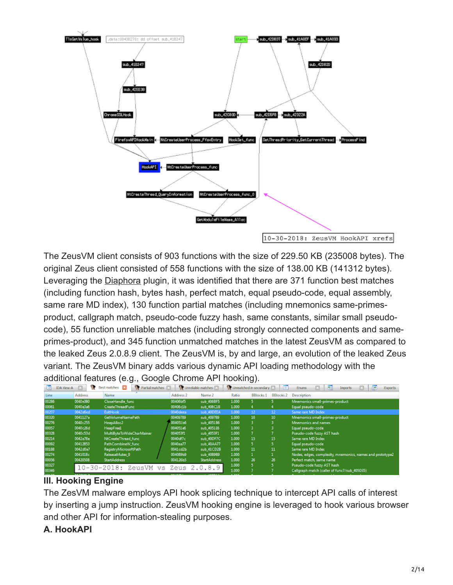

The ZeusVM client consists of 903 functions with the size of 229.50 KB (235008 bytes). The original Zeus client consisted of 558 functions with the size of 138.00 KB (141312 bytes). Leveraging the [Diaphora](https://github.com/joxeankoret/diaphora) plugin, it was identified that there are 371 function best matches (including function hash, bytes hash, perfect match, equal pseudo-code, equal assembly, same rare MD index), 130 function partial matches (including mnemonics same-primesproduct, callgraph match, pseudo-code fuzzy hash, same constants, similar small pseudocode), 55 function unreliable matches (including strongly connected components and sameprimes-product), and 345 function unmatched matches in the latest ZeusVM as compared to the leaked Zeus 2.0.8.9 client. The ZeusVM is, by and large, an evolution of the leaked Zeus variant. The ZeusVM binary adds various dynamic API loading methodology with the additional features (e.g., Google Chrome API hooking).

| w     | IDA View A <b>E</b> | Best natches E3           | V Partial matches [7] V Unreliable matches [7] |                     |       | Urmatched in secondary | 上田        | -30<br>Œ<br><b>Enums</b><br>ß.<br>Exports<br><b>Imports</b> |
|-------|---------------------|---------------------------|------------------------------------------------|---------------------|-------|------------------------|-----------|-------------------------------------------------------------|
| Line  | <b>Address</b>      | Name                      | Address 2                                      | Name 2              | Ratio | <b>BBlocks1</b>        | BBlocks 2 | <b>Description</b>                                          |
| 00286 | 0040e380            | CloseHandle func          | 00406bf5                                       | sub 406BF5          | 1.000 |                        |           | Mnemonics small-primes-product                              |
| 00061 | 0040a3a6            | <b>CreateThreadFunc</b>   | 00406c1b                                       | sub 406C1B          | 1.000 |                        |           | Equal pseudo-code                                           |
| 00207 | 0042e6ed            | <b>ExitHook</b>           | 0040 deep                                      | sub 400EEA          | 1.000 | 12                     | 12        | Same rare MD Index                                          |
| 00320 | 0041127a            | GetVolumeNamePath         | 00409789                                       | sub 409789          | 1.000 | 10 <sub>10</sub>       | 10        | Mnemonics small-primes-product                              |
| 00276 | 0040c255            | HeapAlloc2                | 004051b6                                       | sub_4051B6          | 1.000 |                        |           | <b>Mnemonics and names</b>                                  |
| 00057 | 0040c26d            | <b>HeapFree1</b>          | 004051e6                                       | sub 4051E6          | 1.000 |                        |           | Equal pseudo-code                                           |
| 00328 | 0040c53d            | MultiByteToWideCharMainer | 004053f1                                       | sub 4053F1          | 1.000 |                        |           | Pseudo-code fuzzy AST hash                                  |
| 00214 | 0042e78e            | NtCreateThread_func       | 0040cf7c                                       | sub 400F7C          | 1.000 | 15                     | 15        | Same rare MD Index                                          |
| 00092 | 00412853            | PathCombineW_func         | 0040aa77                                       | sub_40AA77          | 1.000 |                        |           | Equal pseudo-code                                           |
| 00188 | 0042d0a7            | RegistryMicrosoftPath     | 0041cd2b                                       | sub 41CD2B          | 1.000 | 11                     | 11        | Same rare MD Index                                          |
| 00274 | 0041018c            | ReleaseMutex 0            | 00408969                                       | sub 406989          | 1.000 |                        |           | Nodes, edges, complexity, mnemonics, names and prototype2   |
| 00056 | 00420508            | <b>StartAddress</b>       | 004126b5                                       | <b>StartAddress</b> | 1.000 | 26                     | 26        | Perfect match, same name                                    |
| 00327 |                     | 10-30-2018: ZeusVM vs     | Zeus                                           | 2.0.8.9             | 1.000 |                        |           | Pseudo-code fuzzy AST hash                                  |
| 00346 |                     |                           |                                                |                     | 1.000 |                        |           | Callgraph match (caller of func7/sub_405D35)                |
|       |                     |                           |                                                |                     |       |                        |           |                                                             |

### **III. Hooking Engine**

The ZesVM malware employs API hook splicing technique to intercept API calls of interest by inserting a jump instruction. ZeusVM hooking engine is leveraged to hook various browser and other API for information-stealing purposes.

## **A. HookAPI**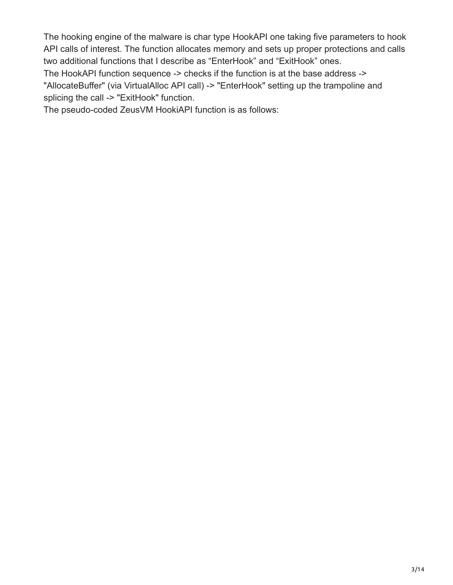The hooking engine of the malware is char type HookAPI one taking five parameters to hook API calls of interest. The function allocates memory and sets up proper protections and calls two additional functions that I describe as "EnterHook" and "ExitHook" ones.

The HookAPI function sequence -> checks if the function is at the base address -> "AllocateBuffer" (via VirtualAlloc API call) -> "EnterHook" setting up the trampoline and splicing the call -> "ExitHook" function.

The pseudo-coded ZeusVM HookiAPI function is as follows: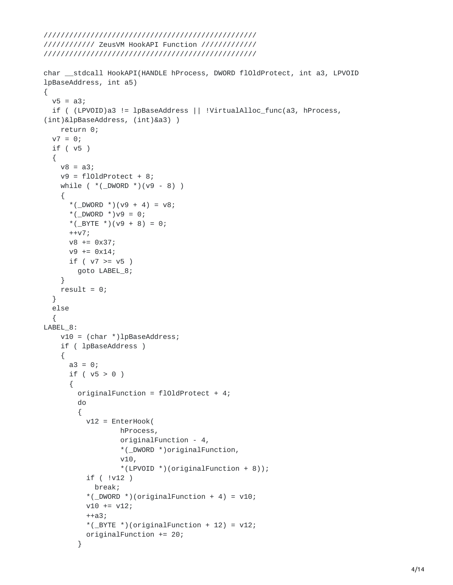```
//////////// ZeusVM HookAPI Function /////////////
//////////////////////////////////////////////////
char __stdcall HookAPI(HANDLE hProcess, DWORD flOldProtect, int a3, LPVOID
lpBaseAddress, int a5)
{
  v5 = a3;if ( (LPVOID)a3 != lpBaseAddress || !VirtualAlloc_func(a3, hProcess,
(int)&lpBaseAddress, (int)&a3) )
    return 0;
  v7 = 0;if ( v5 )
  {
    v8 = a3;v9 = f101dProtect + 8;
    while (*(\_DWORD)^*)(v9 - 8) ){
      *(_DWORD *)(v9 + 4) = v8;
      *( _DWORD *)v9 = 0;*(_BYTE *)(v9 + 8) = 0;
      ++v7;
      v8 += 0x37;
      v9 == 0x14;if ( v7 > = v5 )goto LABEL_8;
    }
    result = 0;
  }
  else
  {
LABEL_8:
    v10 = (char *)lpBaseAddress;
    if ( lpBaseAddress )
    {
      a3 = 0;if ( v5 > 0 )
      {
        originalFunction = flOldProtect + 4;
        do
        {
          v12 = EnterHook(
                  hProcess,
                  originalFunction - 4,
                  *(_DWORD *)originalFunction,
                  v10,
                  *(LPVOID *)(originalFunction + 8));
          if ( !v12 )
            break;
          *(\text{DWORD *})(originalFunction + 4) = v10;v10 += v12;
          ++a3;
          *(_BYTE * )(originalFunction + 12) = v12;
          originalFunction += 20;
        }
```
//////////////////////////////////////////////////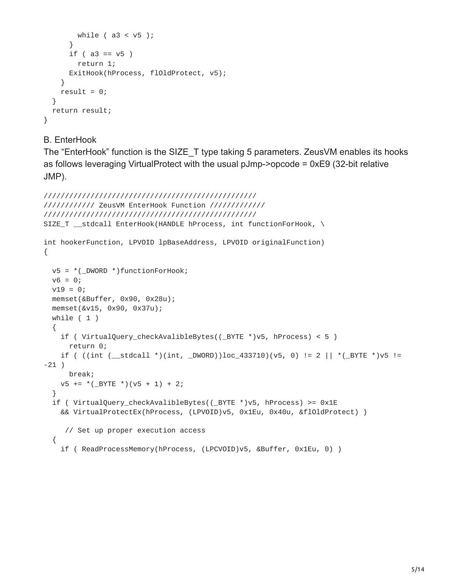```
while ( a3 < v5 );
      }
      if ( a3 == v5 )
        return 1;
      ExitHook(hProcess, flOldProtect, v5);
    }
    result = 0;
  }
 return result;
}
```
B. EnterHook

The "EnterHook" function is the SIZE\_T type taking 5 parameters. ZeusVM enables its hooks as follows leveraging VirtualProtect with the usual pJmp->opcode = 0xE9 (32-bit relative JMP).

```
//////////////////////////////////////////////////
//////////// ZeusVM EnterHook Function /////////////
//////////////////////////////////////////////////
SIZE_T __stdcall EnterHook(HANDLE hProcess, int functionForHook, \
int hookerFunction, LPVOID lpBaseAddress, LPVOID originalFunction)
{
  v5 = *(\squareDWORD *)functionForHook;
  v6 = 0;v19 = 0;memset(&Buffer, 0x90, 0x28u);
  memset(&v15, 0x90, 0x37u);
  while ( 1 )
  {
    if ( VirtualQuery_checkAvalibleBytes((_BYTE *)v5, hProcess) < 5 )
      return 0;
    if ( ((int (__stdcall *)(int, _DWORD))loc_433710)(v5, 0) != 2 || *(_BYTE *)v5 !=
-21 )
      break;
    v5 += *(\text{BYTE}*)(v5 + 1) + 2;}
  if ( VirtualQuery_checkAvalibleBytes((_BYTE *)v5, hProcess) >= 0x1E
    && VirtualProtectEx(hProcess, (LPVOID)v5, 0x1Eu, 0x40u, &flOldProtect) )
     // Set up proper execution access
  {
    if ( ReadProcessMemory(hProcess, (LPCVOID)v5, &Buffer, 0x1Eu, 0) )
```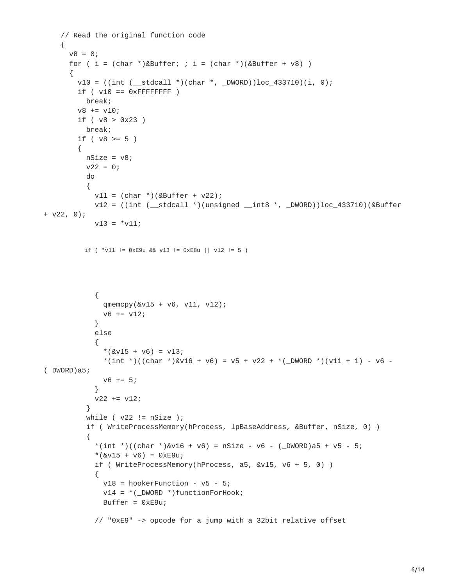```
// Read the original function code
    {
      v8 = 0;for ( i = (char *)*Buffer; ; i = (char *)(&Buffer + v8) )
      {
        v10 = ((int (-stdcall *)(char *, -DWORD))loc_433710)(i, 0);if (v10 == 0xFFFFFFFFFF
          break;
        v8 == v10;if ( v8 > 0x23 )
          break;
        if ( v8 > = 5 )
        {
          nSize = v8;v22 = 0;do
           {
            v11 = (char *)(&Buffer + v22);v12 = ((int (-stdcall *)(unsigned _int8 *, _DWORD))loc_433710)(&Buffer+ v22, 0);
            v13 = *v11;if ( *v11 != 0xE9u && v13 != 0xE8u || v12 != 5 )
             {
              qmemcpy(&v15 + v6, v11, v12);
              v6 += v12;
             }
            else
             {
               *(&\text{V15} + \text{V6}) = \text{V13};*(int *)((char *)&v16 + v6) = v5 + v22 + *(_DWORD *)(v11 + 1) - v6 -
( _DWORD)a5;
              v6 == 5;}
            v22 == v12;}
          while (v22 != nsize );
           if ( WriteProcessMemory(hProcess, lpBaseAddress, &Buffer, nSize, 0) )
           {
             *(int ^{*})((char ^{*})&v16 + v6) = nSize - v6 - (DWORD)a5 + v5 - 5;*(&\text{V15} + \text{V6}) = 0 \times 5 = 9if ( WriteProcessMemory(hProcess, a5, &v15, v6 + 5, 0) )
             {
               v18 = hookerFunction - v5 - 5;
              v14 = *(\squareDWORD *)functionForHook;
               Buffer = 0 \times 50u;
            // "0xE9" -> opcode for a jump with a 32bit relative offset
```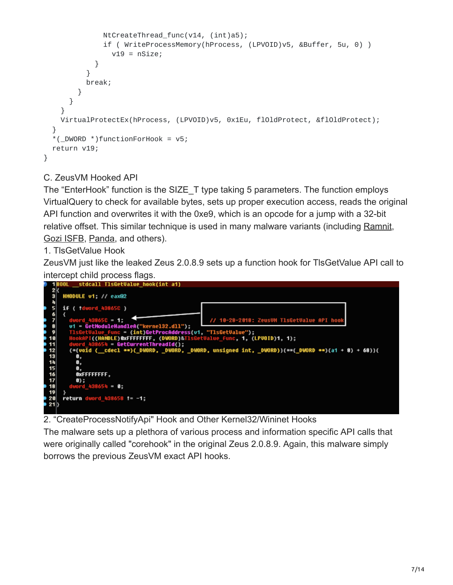```
NtCreateThread_func(v14, (int)a5);
              if ( WriteProcessMemory(hProcess, (LPVOID)v5, &Buffer, 5u, 0) )
                v19 = nSize;}
          }
          break;
        }
      }
    }
    VirtualProtectEx(hProcess, (LPVOID)v5, 0x1Eu, flOldProtect, &flOldProtect);
  }
  *(_DWORD *)functionForHook = v5;
  return v19;
}
```
### C. ZeusVM Hooked API

The "EnterHook" function is the SIZE\_T type taking 5 parameters. The function employs VirtualQuery to check for available bytes, sets up proper execution access, reads the original API function and overwrites it with the 0xe9, which is an opcode for a jump with a 32-bit relative offset. This similar technique is used in many malware variants (including [Ramnit,](https://www.vkremez.com/2018/08/lets-learn-in-depth-into-latest-ramnit.html) [Gozi ISFB,](https://www.vkremez.com/2018/08/lets-learn-in-depth-reversing-of-recent.html) [Panda](https://www.vkremez.com/2018/08/lets-learn-dissecting-panda-banker.html), and others).

1. TlsGetValue Hook

ZeusVM just like the leaked Zeus 2.0.8.9 sets up a function hook for TlsGetValue API call to intercept child process flags.



2. "CreateProcessNotifyApi" Hook and Other Kernel32/Wininet Hooks

The malware sets up a plethora of various process and information specific API calls that were originally called "corehook" in the original Zeus 2.0.8.9. Again, this malware simply borrows the previous ZeusVM exact API hooks.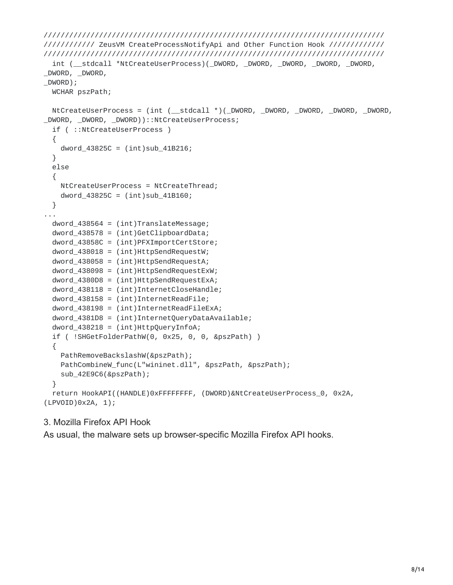```
////////////////////////////////////////////////////////////////////////////////
//////////// ZeusVM CreateProcessNotifyApi and Other Function Hook /////////////
////////////////////////////////////////////////////////////////////////////////
  int (__stdcall *NtCreateUserProcess)(_DWORD, _DWORD, _DWORD, _DWORD, _DWORD,
_DWORD, _DWORD,
_DWORD);
 WCHAR pszPath;
  NtCreateUserProcess = (int (__stdcall *)(_DWORD, _DWORD, _DWORD, _DWORD, _DWORD,
_DWORD, _DWORD, _DWORD))::NtCreateUserProcess;
  if ( ::NtCreateUserProcess )
  {
    dword_43825C = (int)sub_41B216;}
 else
  {
    NtCreateUserProcess = NtCreateThread;
    dword_43825C = (int)sub_41B160;}
...
  dword_438564 = (int)TranslateMessage;
  dword_438578 = (int)GetClipboardData;
  dword_43858C = (int)PFXImportCertStore;
  dword_438018 = (int)HttpSendRequestW;dword 438058 = (int)HttpSendRequestA;
  dword_438098 = (int)HttpSendRequestExW;
  dword_4380D8 = (int)HttpSendRequestExA;
  dword_438118 = (int)InternetCloseHandle;
  dword_438158 = (int)InternetReadFile;dword_438198 = (int)InternetReadFileExA;
  dword_4381D8 = (int)InternetQueryDataAvailable;
  dword_438218 = (int)HttpQueryInfoA;if ( !SHGetFolderPathW(0, 0x25, 0, 0, &pszPath) )
  {
    PathRemoveBackslashW(&pszPath);
    PathCombineW_func(L"wininet.dll", &pszPath, &pszPath);
    sub_42E9C6(&pszPath);
  }
  return HookAPI((HANDLE)0xFFFFFFFF, (DWORD)&NtCreateUserProcess_0, 0x2A,
(LPVOID)0x2A, 1);
```
#### 3. Mozilla Firefox API Hook

As usual, the malware sets up browser-specific Mozilla Firefox API hooks.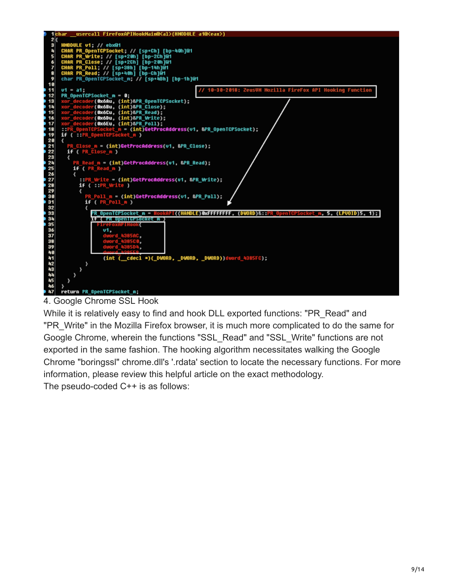

4. Google Chrome SSL Hook

While it is relatively easy to find and hook DLL exported functions: "PR\_Read" and "PR\_Write" in the Mozilla Firefox browser, it is much more complicated to do the same for Google Chrome, wherein the functions "SSL\_Read" and "SSL\_Write" functions are not exported in the same fashion. The hooking algorithm necessitates walking the Google Chrome "boringssl" chrome.dll's '.rdata' section to locate the necessary functions. For more information, please review this helpful article on the exact methodology. The pseudo-coded C++ is as follows: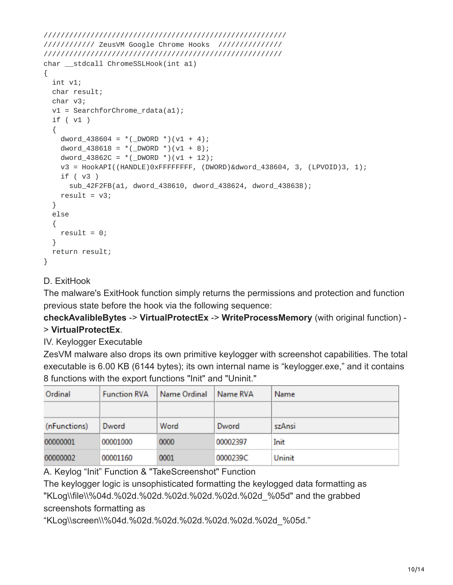```
/////////////////////////////////////////////////////////
//////////// ZeusVM Google Chrome Hooks ///////////////
////////////////////////////////////////////////////////
char __stdcall ChromeSSLHook(int a1)
{
  int v1;
  char result;
  char v3;
 v1 = SearchforChrome_rdata(a1);
  if ( v1 )
  {
    dword_438604 = *(\text{DWORD } *) (v1 + 4);dword_438618 = *(\text{_DWORD} *)(v1 + 8);dword_43862C = *(\text{DWORD }*) (v1 + 12);v3 = HookAPI((HANDLE)0xFFFFFFFF, (DWORD)&dword_438604, 3, (LPVOID)3, 1);
    if ( v3 )
      sub_42F2FB(a1, dword_438610, dword_438624, dword_438638);
    result = v3;}
  else
  {
    result = 0;
  }
 return result;
}
```
### D. ExitHook

The malware's ExitHook function simply returns the permissions and protection and function previous state before the hook via the following sequence:

**checkAvalibleBytes** -> **VirtualProtectEx** -> **WriteProcessMemory** (with original function) - > **VirtualProtectEx**.

IV. Keylogger Executable

ZesVM malware also drops its own primitive keylogger with screenshot capabilities. The total executable is 6.00 KB (6144 bytes); its own internal name is "keylogger.exe," and it contains 8 functions with the export functions "Init" and "Uninit."

| Ordinal      | <b>Function RVA</b> | Name Ordinal | Name RVA | Name   |
|--------------|---------------------|--------------|----------|--------|
|              |                     |              |          |        |
| (nFunctions) | Dword               | Word         | Dword    | szAnsi |
| 00000001     | 00001000            | 0000         | 00002397 | Init   |
| 00000002     | 00001160            | 0001         | 0000239C | Uninit |

A. Keylog "Init" Function & "TakeScreenshot" Function

The keylogger logic is unsophisticated formatting the keylogged data formatting as "KLog\\file\\%04d.%02d.%02d.%02d.%02d.%02d.%02d\_%05d" and the grabbed screenshots formatting as

"KLog\\screen\\%04d.%02d.%02d.%02d.%02d.%02d.%02d\_%05d."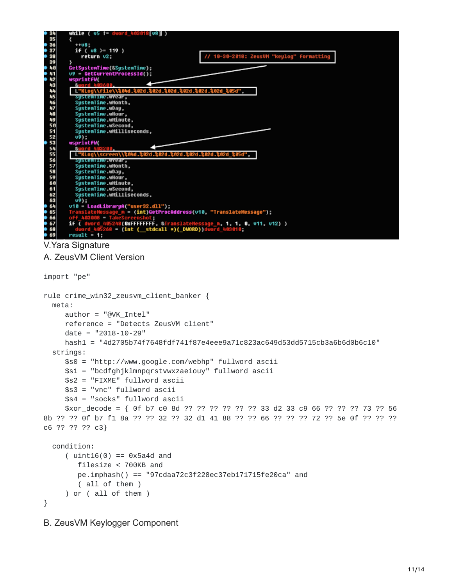

V.Yara Signature

A. ZeusVM Client Version

```
import "pe"
rule crime_win32_zeusvm_client_banker {
 meta:
     author = "@VK_Intel"
     reference = "Detects ZeusVM client"
     date = "2018-10-29"
     hash1 = "4d2705b74f7648fdf741f87e4eee9a71c823ac649d53dd5715cb3a6b6d0b6c10"
  strings:
     $s0 = "http://www.google.com/webhp" fullword ascii
     $s1 = "bcdfghjklmnpqrstvwxzaeiouy" fullword ascii
     $s2 = "FIXME" fullword ascii
     $s3 = "vnc" fullword ascii
     $s4 = "socks" fullword ascii
     $xor_decode = { 0f b7 c0 8d ?? ?? ?? ?? ?? ?? 33 d2 33 c9 66 ?? ?? ?? 73 ?? 56
8b ?? ?? 0f b7 f1 8a ?? ?? 32 ?? 32 d1 41 88 ?? ?? 66 ?? ?? ?? 72 ?? 5e 0f ?? ?? ??
c6 ?? ?? ?? c3}
  condition:
     (i uint16(0) == 0x5a4d and
        filesize < 700KB and
        pe.imphash() == "97cdaa72c3f228ec37eb171715fe20ca" and
        ( all of them )
     ) or ( all of them )
}
```
B. ZeusVM Keylogger Component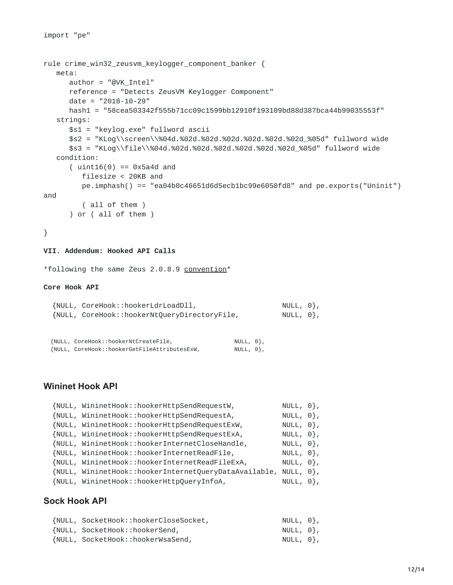```
rule crime_win32_zeusvm_keylogger_component_banker {
   meta:
      author = "@VK_Intel"
      reference = "Detects ZeusVM Keylogger Component"
      date = "2018-10-29"
      hash1 = "58cea503342f555b71cc09c1599bb12910f193109bd88d387bca44b99035553f"
   strings:
      $s1 = "keylog.exe" fullword ascii
      $s2 = "KLog\\screen\\%04d.%02d.%02d.%02d.%02d.%02d.%02d_%05d" fullword wide
      $s3 = "KLog\\file\\%04d.%02d.%02d.%02d.%02d.%02d.%02d_%05d" fullword wide
   condition:
      (i uint16(0) == 0x5a4d and
         filesize < 20KB and
         pe.imphash() == "ea04b0c46651d6d5ecb1bc99e6050fd8" and pe.exports("Uninit")
and
         ( all of them )
      ) or ( all of them )
}
VII. Addendum: Hooked API Calls
```
\*following the same Zeus 2.0.8.9 [convention\\*](https://github.com/Visgean/Zeus/blob/c55a9fa8c8564ec196604a59111708fa8415f020/source/client/winapitables.cpp)

#### **Core Hook API**

| {NULL, CoreHook::hookerLdrLoadDll,           | NULL, 0},   |  |
|----------------------------------------------|-------------|--|
| {NULL, CoreHook::hookerNtQueryDirectoryFile, | NULL, $0$ , |  |

| {NULL, CoreHook::hookerNtCreateFile,         | NULL, 0}, |  |
|----------------------------------------------|-----------|--|
| {NULL, CoreHook::hookerGetFileAttributesExW, | NULL, 0}, |  |

#### **Wininet Hook API**

| {NULL, WininetHook::hookerHttpSendRequestW,                     | NULL, $0$ ,      |  |
|-----------------------------------------------------------------|------------------|--|
| {NULL, WininetHook::hookerHttpSendRequestA,                     | NULL, $\Theta$ , |  |
| {NULL, WininetHook::hookerHttpSendRequestExW,                   | NULL, $\Theta$ , |  |
| {NULL, WininetHook::hookerHttpSendRequestExA,                   | NULL, $\Theta$ , |  |
| {NULL, WininetHook::hookerInternetCloseHandle,                  | NULL, $0$ ,      |  |
| {NULL, WininetHook::hookerInternetReadFile,                     | NULL, $0$ ,      |  |
| {NULL, WininetHook::hookerInternetReadFileExA,                  | NULL, $0$ ,      |  |
| {NULL, WininetHook::hookerInternetQueryDataAvailable, NULL, 0}, |                  |  |
| {NULL, WininetHook::hookerHttpQueryInfoA,                       | $NULL, 0$ ,      |  |

#### **Sock Hook API**

| {NULL, SocketHook::hookerCloseSocket, | NULL, 0}, |  |
|---------------------------------------|-----------|--|
| {NULL, SocketHook::hookerSend,        | NULL, 0}, |  |
| {NULL, SocketHook::hookerWsaSend,     | NULL, 0}, |  |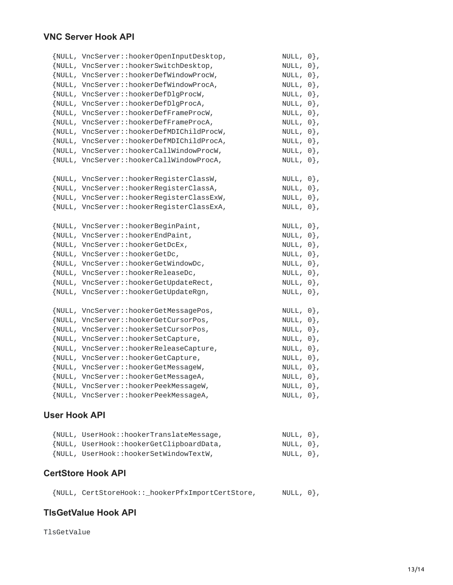### **VNC Server Hook API**

| {NULL, VncServer::hookerOpenInputDesktop, | NULL, $\Theta$ }, |  |
|-------------------------------------------|-------------------|--|
| {NULL, VncServer::hookerSwitchDesktop,    | NULL, $\Theta$ ,  |  |
| {NULL, VncServer::hookerDefWindowProcW,   | NULL, $\Theta$ }, |  |
| {NULL, VncServer::hookerDefWindowProcA,   | NULL, $\Theta$ }, |  |
| {NULL, VncServer::hookerDefDlgProcW,      | NULL, $\Theta$ }, |  |
| {NULL, VncServer::hookerDefDlgProcA,      | NULL, $\Theta$ }, |  |
| {NULL, VncServer::hookerDefFrameProcW,    | NULL, $0$ ,       |  |
| {NULL, VncServer::hookerDefFrameProcA,    | NULL, $0$ ,       |  |
| {NULL, VncServer::hookerDefMDIChildProcW, | NULL, $0$ ,       |  |
| {NULL, VncServer::hookerDefMDIChildProcA, | NULL, $0$ ,       |  |
| {NULL, VncServer::hookerCallWindowProcW,  | NULL, $\Theta$ }, |  |
| {NULL, VncServer::hookerCallWindowProcA,  | NULL, $0$ ,       |  |
|                                           |                   |  |
| {NULL, VncServer::hookerRegisterClassW,   | NULL, $\Theta$ }, |  |
| {NULL, VncServer::hookerRegisterClassA,   | NULL, $\Theta$ ,  |  |
| {NULL, VncServer::hookerRegisterClassExW, | NULL, $\Theta$ }, |  |
| {NULL, VncServer::hookerRegisterClassExA, | NULL, $0$ ,       |  |
| {NULL, VncServer::hookerBeginPaint,       | NULL, $0$ ,       |  |
| {NULL, VncServer::hookerEndPaint,         | NULL, $0$ ,       |  |
| {NULL, VncServer::hookerGetDcEx,          | NULL, $0$ ,       |  |
| {NULL, VncServer::hookerGetDc,            | NULL, $0$ ,       |  |
| {NULL, VncServer::hookerGetWindowDc,      | NULL, $0$ ,       |  |
| {NULL, VncServer::hookerReleaseDc,        | NULL, $0$ ,       |  |
| {NULL, VncServer::hookerGetUpdateRect,    | NULL, $0\}$ ,     |  |
| {NULL, VncServer::hookerGetUpdateRgn,     | NULL, $0\}$ ,     |  |
|                                           |                   |  |
| {NULL, VncServer::hookerGetMessagePos,    | NULL, $0$ ,       |  |
| {NULL, VncServer::hookerGetCursorPos,     | NULL, $\Theta$ }, |  |
| {NULL, VncServer::hookerSetCursorPos,     | NULL, $0$ ,       |  |
| {NULL, VncServer::hookerSetCapture,       | NULL, $0$ ,       |  |
| {NULL, VncServer::hookerReleaseCapture,   | NULL, $0$ ,       |  |
| {NULL, VncServer::hookerGetCapture,       | NULL, $0$ ,       |  |
| {NULL, VncServer::hookerGetMessageW,      | NULL, $0$ ,       |  |
| {NULL, VncServer::hookerGetMessageA,      | NULL, $0\}$ ,     |  |
| {NULL, VncServer::hookerPeekMessageW,     | NULL, $0\}$ ,     |  |
| {NULL, VncServer::hookerPeekMessageA,     | NULL, $0\}$ ,     |  |

### **User Hook API**

| {NULL, UserHook::hookerTranslateMessage, | NULL, 0}, |  |
|------------------------------------------|-----------|--|
| {NULL, UserHook::hookerGetClipboardData, | NULL, 0}, |  |
| {NULL, UserHook::hookerSetWindowTextW,   | NULL, 0}, |  |

### **CertStore Hook API**

|  |  | {NULL, CertStoreHook::_hookerPfxImportCertStore, | NULL, $\Theta$ }, |
|--|--|--------------------------------------------------|-------------------|
|--|--|--------------------------------------------------|-------------------|

#### **TlsGetValue Hook API**

TlsGetValue